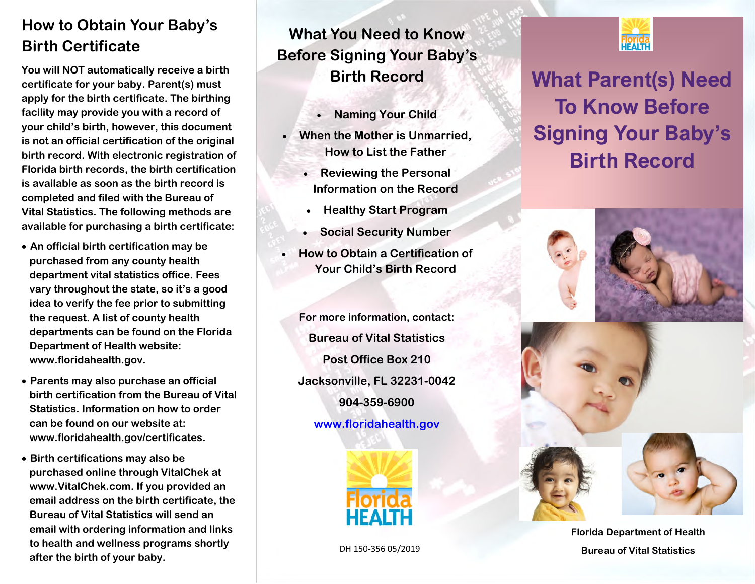# How to Obtain Your Baby's Birth Certificate

You will NOT automatically receive a birth certificate for your baby. Parent(s) must apply for the birth certificate. The birthing facility may provide you with a record of your child's birth, however, this document is not an official certification of the original birth record. With electronic registration of Florida birth records, the birth certification is available as soon as the birth record is completed and filed with the Bureau of Vital Statistics. The following methods are available for purchasing a birth certificate:

- · An official birth certification may be purchased from any county health department vital statistics office. Fees vary throughout the state, so it's a good idea to verify the fee prior to submitting the request. A list of county health departments can be found on the Florida Department of Health website: www.floridahealth.gov.
- · Parents may also purchase an official birth certification from the Bureau of Vital Statistics. Information on how to order can be found on our website at: www.floridahealth.gov/certificates.
- · Birth certifications may also be purchased online through VitalChek at www.VitalChek.com. If you provided an email address on the birth certificate, the Bureau of Vital Statistics will send an email with ordering information and links to health and wellness programs shortly after the birth of your baby.

# What You Need to Know Before Signing Your Baby's Birth Record

- · Naming Your Child
- When the Mother is Unmarried, How to List the Father
	- · Reviewing the Personal Information on the Record
		- · Healthy Start Program
	- **Social Security Number**
- · How to Obtain a Certification of Your Child's Birth Record

For more information, contact: Bureau of Vital Statistics Post Office Box 210 Jacksonville, FL 32231-0042 904-359-6900 www.floridahealth.gov



DH 150-356 05/2019



**What Parent(s) Need To Know Before Signing Your Baby's Birth Record** 



Florida Department of Health Bureau of Vital Statistics